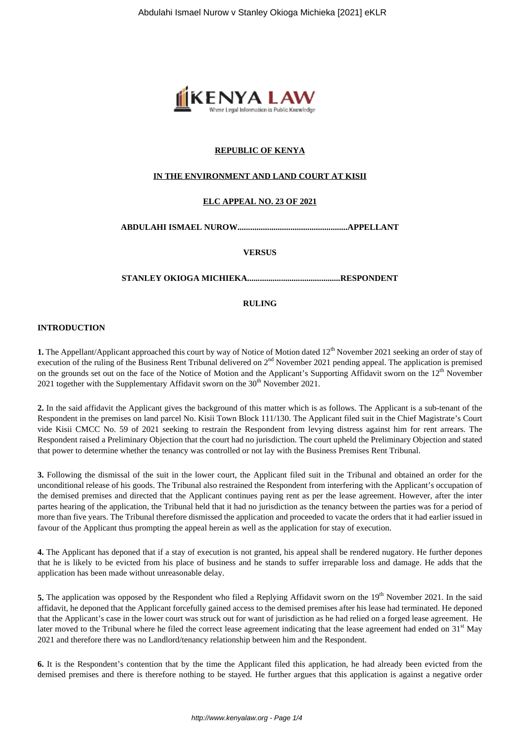

# **REPUBLIC OF KENYA**

## **IN THE ENVIRONMENT AND LAND COURT AT KISII**

## **ELC APPEAL NO. 23 OF 2021**

## **ABDULAHI ISMAEL NUROW....................................................APPELLANT**

#### **VERSUS**

#### **STANLEY OKIOGA MICHIEKA............................................RESPONDENT**

#### **RULING**

#### **INTRODUCTION**

**1.** The Appellant/Applicant approached this court by way of Notice of Motion dated 12<sup>th</sup> November 2021 seeking an order of stay of execution of the ruling of the Business Rent Tribunal delivered on 2<sup>nd</sup> November 2021 pending appeal. The application is premised on the grounds set out on the face of the Notice of Motion and the Applicant's Supporting Affidavit sworn on the 12<sup>th</sup> November 2021 together with the Supplementary Affidavit sworn on the  $30<sup>th</sup>$  November 2021.

**2.** In the said affidavit the Applicant gives the background of this matter which is as follows. The Applicant is a sub-tenant of the Respondent in the premises on land parcel No. Kisii Town Block 111/130. The Applicant filed suit in the Chief Magistrate's Court vide Kisii CMCC No. 59 of 2021 seeking to restrain the Respondent from levying distress against him for rent arrears. The Respondent raised a Preliminary Objection that the court had no jurisdiction. The court upheld the Preliminary Objection and stated that power to determine whether the tenancy was controlled or not lay with the Business Premises Rent Tribunal.

**3.** Following the dismissal of the suit in the lower court, the Applicant filed suit in the Tribunal and obtained an order for the unconditional release of his goods. The Tribunal also restrained the Respondent from interfering with the Applicant's occupation of the demised premises and directed that the Applicant continues paying rent as per the lease agreement. However, after the inter partes hearing of the application, the Tribunal held that it had no jurisdiction as the tenancy between the parties was for a period of more than five years. The Tribunal therefore dismissed the application and proceeded to vacate the orders that it had earlier issued in favour of the Applicant thus prompting the appeal herein as well as the application for stay of execution.

**4.** The Applicant has deponed that if a stay of execution is not granted, his appeal shall be rendered nugatory. He further depones that he is likely to be evicted from his place of business and he stands to suffer irreparable loss and damage. He adds that the application has been made without unreasonable delay.

**5.** The application was opposed by the Respondent who filed a Replying Affidavit sworn on the 19<sup>th</sup> November 2021. In the said affidavit, he deponed that the Applicant forcefully gained access to the demised premises after his lease had terminated. He deponed that the Applicant's case in the lower court was struck out for want of jurisdiction as he had relied on a forged lease agreement. He later moved to the Tribunal where he filed the correct lease agreement indicating that the lease agreement had ended on  $31<sup>st</sup>$  May 2021 and therefore there was no Landlord/tenancy relationship between him and the Respondent.

**6.** It is the Respondent's contention that by the time the Applicant filed this application, he had already been evicted from the demised premises and there is therefore nothing to be stayed. He further argues that this application is against a negative order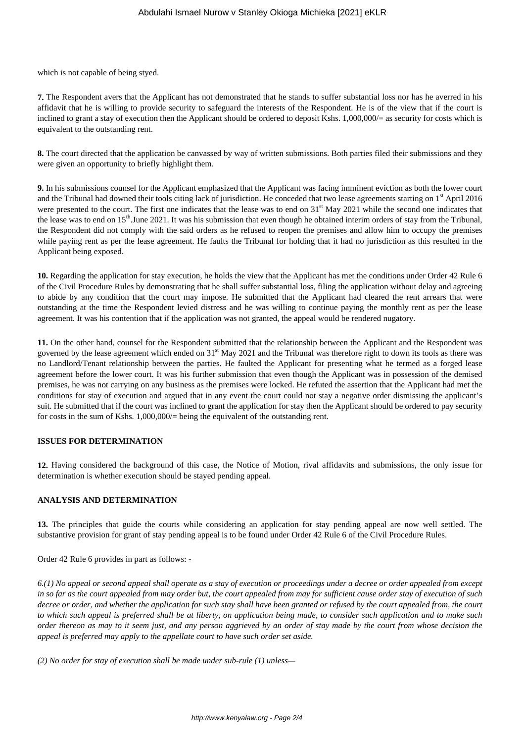which is not capable of being styed.

**7.** The Respondent avers that the Applicant has not demonstrated that he stands to suffer substantial loss nor has he averred in his affidavit that he is willing to provide security to safeguard the interests of the Respondent. He is of the view that if the court is inclined to grant a stay of execution then the Applicant should be ordered to deposit Kshs. 1,000,000/= as security for costs which is equivalent to the outstanding rent.

**8.** The court directed that the application be canvassed by way of written submissions. Both parties filed their submissions and they were given an opportunity to briefly highlight them.

**9.** In his submissions counsel for the Applicant emphasized that the Applicant was facing imminent eviction as both the lower court and the Tribunal had downed their tools citing lack of jurisdiction. He conceded that two lease agreements starting on 1<sup>st</sup> April 2016 were presented to the court. The first one indicates that the lease was to end on  $31<sup>st</sup>$  May 2021 while the second one indicates that the lease was to end on  $15<sup>th</sup>$ . June 2021. It was his submission that even though he obtained interim orders of stay from the Tribunal, the Respondent did not comply with the said orders as he refused to reopen the premises and allow him to occupy the premises while paying rent as per the lease agreement. He faults the Tribunal for holding that it had no jurisdiction as this resulted in the Applicant being exposed.

**10.** Regarding the application for stay execution, he holds the view that the Applicant has met the conditions under Order 42 Rule 6 of the Civil Procedure Rules by demonstrating that he shall suffer substantial loss, filing the application without delay and agreeing to abide by any condition that the court may impose. He submitted that the Applicant had cleared the rent arrears that were outstanding at the time the Respondent levied distress and he was willing to continue paying the monthly rent as per the lease agreement. It was his contention that if the application was not granted, the appeal would be rendered nugatory.

**11.** On the other hand, counsel for the Respondent submitted that the relationship between the Applicant and the Respondent was governed by the lease agreement which ended on 31<sup>st</sup> May 2021 and the Tribunal was therefore right to down its tools as there was no Landlord/Tenant relationship between the parties. He faulted the Applicant for presenting what he termed as a forged lease agreement before the lower court. It was his further submission that even though the Applicant was in possession of the demised premises, he was not carrying on any business as the premises were locked. He refuted the assertion that the Applicant had met the conditions for stay of execution and argued that in any event the court could not stay a negative order dismissing the applicant's suit. He submitted that if the court was inclined to grant the application for stay then the Applicant should be ordered to pay security for costs in the sum of Kshs. 1,000,000/= being the equivalent of the outstanding rent.

## **ISSUES FOR DETERMINATION**

**12.** Having considered the background of this case, the Notice of Motion, rival affidavits and submissions, the only issue for determination is whether execution should be stayed pending appeal.

## **ANALYSIS AND DETERMINATION**

**13.** The principles that guide the courts while considering an application for stay pending appeal are now well settled. The substantive provision for grant of stay pending appeal is to be found under Order 42 Rule 6 of the Civil Procedure Rules.

Order 42 Rule 6 provides in part as follows: -

*6.(1) No appeal or second appeal shall operate as a stay of execution or proceedings under a decree or order appealed from except in so far as the court appealed from may order but, the court appealed from may for sufficient cause order stay of execution of such decree or order, and whether the application for such stay shall have been granted or refused by the court appealed from, the court to which such appeal is preferred shall be at liberty, on application being made, to consider such application and to make such order thereon as may to it seem just, and any person aggrieved by an order of stay made by the court from whose decision the appeal is preferred may apply to the appellate court to have such order set aside.* 

*(2) No order for stay of execution shall be made under sub-rule (1) unless—*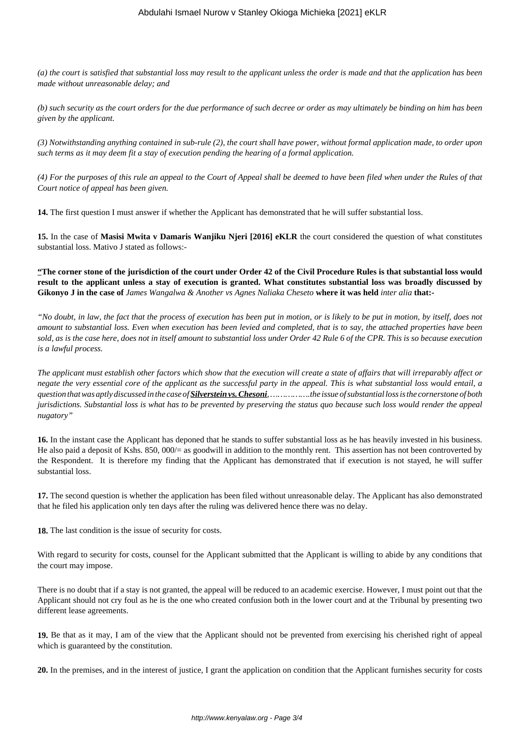*(a) the court is satisfied that substantial loss may result to the applicant unless the order is made and that the application has been made without unreasonable delay; and* 

*(b) such security as the court orders for the due performance of such decree or order as may ultimately be binding on him has been given by the applicant.* 

*(3) Notwithstanding anything contained in sub-rule (2), the court shall have power, without formal application made, to order upon such terms as it may deem fit a stay of execution pending the hearing of a formal application.* 

*(4) For the purposes of this rule an appeal to the Court of Appeal shall be deemed to have been filed when under the Rules of that Court notice of appeal has been given.*

**14.** The first question I must answer if whether the Applicant has demonstrated that he will suffer substantial loss.

**15.** In the case of **Masisi Mwita v Damaris Wanjiku Njeri [2016] eKLR** the court considered the question of what constitutes substantial loss. Mativo J stated as follows:-

**"The corner stone of the jurisdiction of the court under Order 42 of the Civil Procedure Rules is that substantial loss would result to the applicant unless a stay of execution is granted. What constitutes substantial loss was broadly discussed by Gikonyo J in the case of** *James Wangalwa & Another vs Agnes Naliaka Cheseto* **where it was held** *inter alia* **that:-**

*"No doubt, in law, the fact that the process of execution has been put in motion, or is likely to be put in motion, by itself, does not amount to substantial loss. Even when execution has been levied and completed, that is to say, the attached properties have been sold, as is the case here, does not in itself amount to substantial loss under Order 42 Rule 6 of the CPR. This is so because execution is a lawful process.*

*The applicant must establish other factors which show that the execution will create a state of affairs that will irreparably affect or negate the very essential core of the applicant as the successful party in the appeal. This is what substantial loss would entail, a question that was aptly discussed in the case of Silverstein vs. Chesoni, …………….the issue of substantial loss is the cornerstone of both jurisdictions. Substantial loss is what has to be prevented by preserving the status quo because such loss would render the appeal nugatory"*

**16.** In the instant case the Applicant has deponed that he stands to suffer substantial loss as he has heavily invested in his business. He also paid a deposit of Kshs. 850, 000/= as goodwill in addition to the monthly rent. This assertion has not been controverted by the Respondent. It is therefore my finding that the Applicant has demonstrated that if execution is not stayed, he will suffer substantial loss.

**17.** The second question is whether the application has been filed without unreasonable delay. The Applicant has also demonstrated that he filed his application only ten days after the ruling was delivered hence there was no delay.

**18.** The last condition is the issue of security for costs.

With regard to security for costs, counsel for the Applicant submitted that the Applicant is willing to abide by any conditions that the court may impose.

There is no doubt that if a stay is not granted, the appeal will be reduced to an academic exercise. However, I must point out that the Applicant should not cry foul as he is the one who created confusion both in the lower court and at the Tribunal by presenting two different lease agreements.

**19.** Be that as it may, I am of the view that the Applicant should not be prevented from exercising his cherished right of appeal which is guaranteed by the constitution.

**20.** In the premises, and in the interest of justice, I grant the application on condition that the Applicant furnishes security for costs